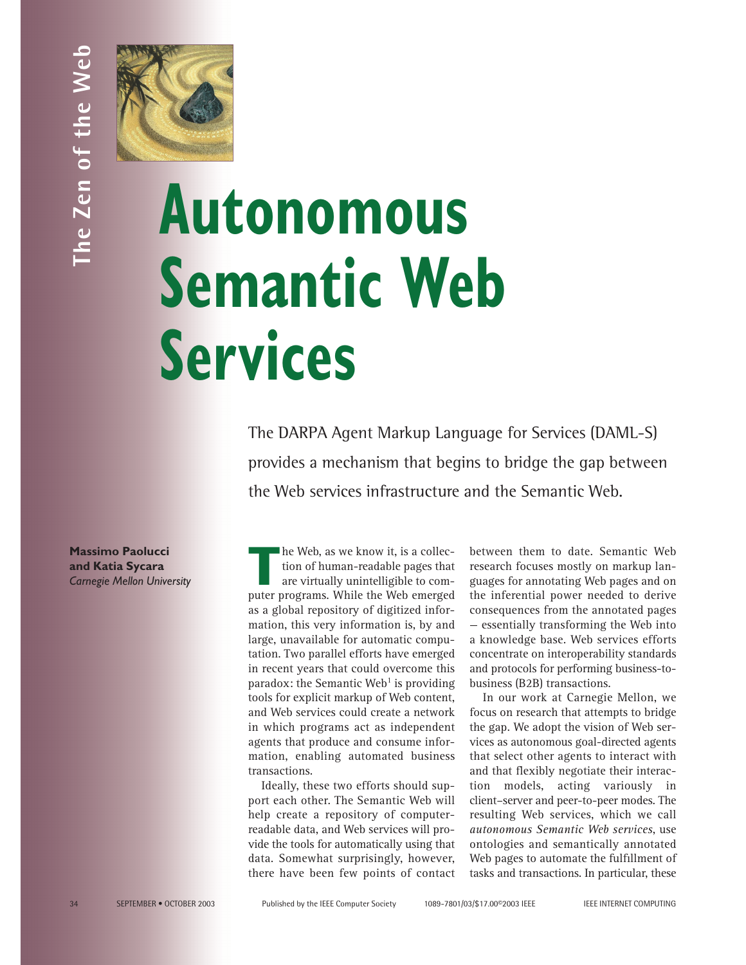

# **Separate For Active Computer Society 1089-7801/03/31.00**<br>
September 2003 Published by the IEEE Computer Society 1089-7801/03/31.000 IEEE Computer Society 1089-7801/03/<br>
The DARPA Agent Markup Language for Services (DAML-S **Autonomous Semantic Web Services**

The DARPA Agent Markup Language for Services (DAML-S) provides a mechanism that begins to bridge the gap between the Web services infrastructure and the Semantic Web.

**Massimo Paolucci and Katia Sycara** *Carnegie Mellon University* 

**The Web, as we know it, is a collection of human-readable pages that are virtually unintelligible to computer programs. While the Web emerged** he Web, as we know it, is a collection of human-readable pages that are virtually unintelligible to comas a global repository of digitized information, this very information is, by and large, unavailable for automatic computation. Two parallel efforts have emerged in recent years that could overcome this paradox: the Semantic Web<sup>1</sup> is providing tools for explicit markup of Web content, and Web services could create a network in which programs act as independent agents that produce and consume information, enabling automated business transactions.

Ideally, these two efforts should support each other. The Semantic Web will help create a repository of computerreadable data, and Web services will provide the tools for automatically using that data. Somewhat surprisingly, however, there have been few points of contact

between them to date. Semantic Web research focuses mostly on markup languages for annotating Web pages and on the inferential power needed to derive consequences from the annotated pages — essentially transforming the Web into a knowledge base. Web services efforts concentrate on interoperability standards and protocols for performing business-tobusiness (B2B) transactions.

In our work at Carnegie Mellon, we focus on research that attempts to bridge the gap. We adopt the vision of Web services as autonomous goal-directed agents that select other agents to interact with and that flexibly negotiate their interaction models, acting variously in client–server and peer-to-peer modes. The resulting Web services, which we call *autonomous Semantic Web services*, use ontologies and semantically annotated Web pages to automate the fulfillment of tasks and transactions. In particular, these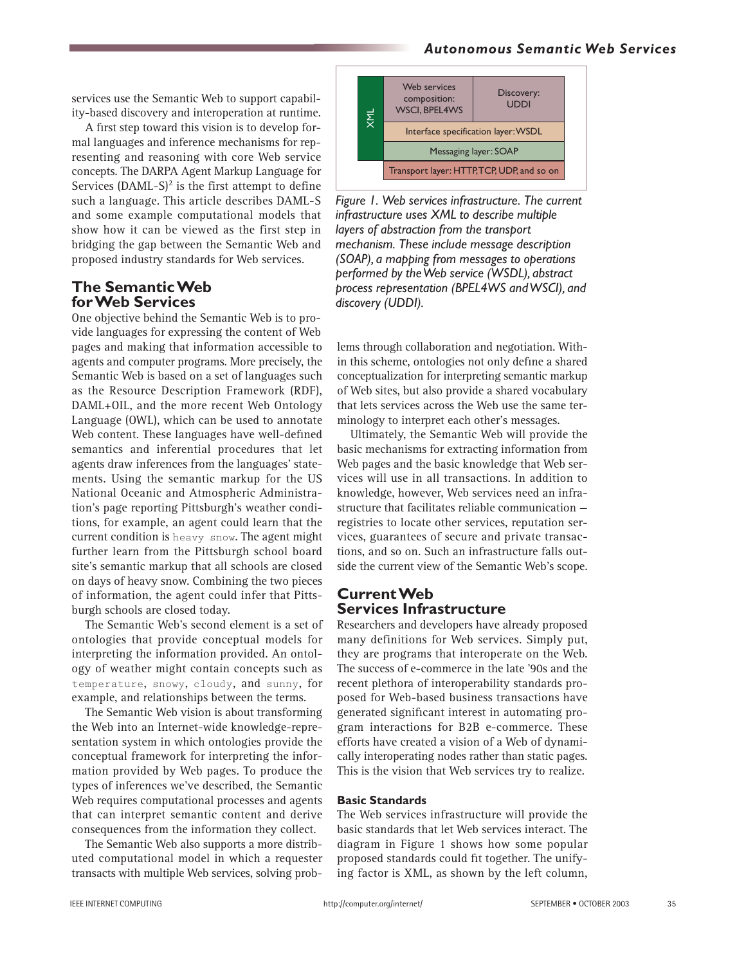# *Autonomous Semantic Web Services*

services use the Semantic Web to support capability-based discovery and interoperation at runtime.

A first step toward this vision is to develop formal languages and inference mechanisms for representing and reasoning with core Web service concepts. The DARPA Agent Markup Language for Services (DAML-S)<sup>2</sup> is the first attempt to define such a language. This article describes DAML-S and some example computational models that show how it can be viewed as the first step in bridging the gap between the Semantic Web and proposed industry standards for Web services.

# **The Semantic Web for Web Services**

One objective behind the Semantic Web is to provide languages for expressing the content of Web pages and making that information accessible to agents and computer programs. More precisely, the Semantic Web is based on a set of languages such as the Resource Description Framework (RDF), DAML+OIL, and the more recent Web Ontology Language (OWL), which can be used to annotate Web content. These languages have well-defined semantics and inferential procedures that let agents draw inferences from the languages' statements. Using the semantic markup for the US National Oceanic and Atmospheric Administration's page reporting Pittsburgh's weather conditions, for example, an agent could learn that the current condition is heavy snow. The agent might further learn from the Pittsburgh school board site's semantic markup that all schools are closed on days of heavy snow. Combining the two pieces of information, the agent could infer that Pittsburgh schools are closed today.

The Semantic Web's second element is a set of ontologies that provide conceptual models for interpreting the information provided. An ontology of weather might contain concepts such as temperature, snowy, cloudy, and sunny, for example, and relationships between the terms.

The Semantic Web vision is about transforming the Web into an Internet-wide knowledge-representation system in which ontologies provide the conceptual framework for interpreting the information provided by Web pages. To produce the types of inferences we've described, the Semantic Web requires computational processes and agents that can interpret semantic content and derive consequences from the information they collect.

The Semantic Web also supports a more distributed computational model in which a requester transacts with multiple Web services, solving prob-



*Figure 1. Web services infrastructure. The current infrastructure uses XML to describe multiple layers of abstraction from the transport mechanism. These include message description (SOAP), a mapping from messages to operations performed by the Web service (WSDL), abstract process representation (BPEL4WS and WSCI), and discovery (UDDI).*

lems through collaboration and negotiation. Within this scheme, ontologies not only define a shared conceptualization for interpreting semantic markup of Web sites, but also provide a shared vocabulary that lets services across the Web use the same terminology to interpret each other's messages.

Ultimately, the Semantic Web will provide the basic mechanisms for extracting information from Web pages and the basic knowledge that Web services will use in all transactions. In addition to knowledge, however, Web services need an infrastructure that facilitates reliable communication registries to locate other services, reputation services, guarantees of secure and private transactions, and so on. Such an infrastructure falls outside the current view of the Semantic Web's scope.

# **Current Web Services Infrastructure**

Researchers and developers have already proposed many definitions for Web services. Simply put, they are programs that interoperate on the Web. The success of e-commerce in the late '90s and the recent plethora of interoperability standards proposed for Web-based business transactions have generated significant interest in automating program interactions for B2B e-commerce. These efforts have created a vision of a Web of dynamically interoperating nodes rather than static pages. This is the vision that Web services try to realize.

#### **Basic Standards**

The Web services infrastructure will provide the basic standards that let Web services interact. The diagram in Figure 1 shows how some popular proposed standards could fit together. The unifying factor is XML, as shown by the left column,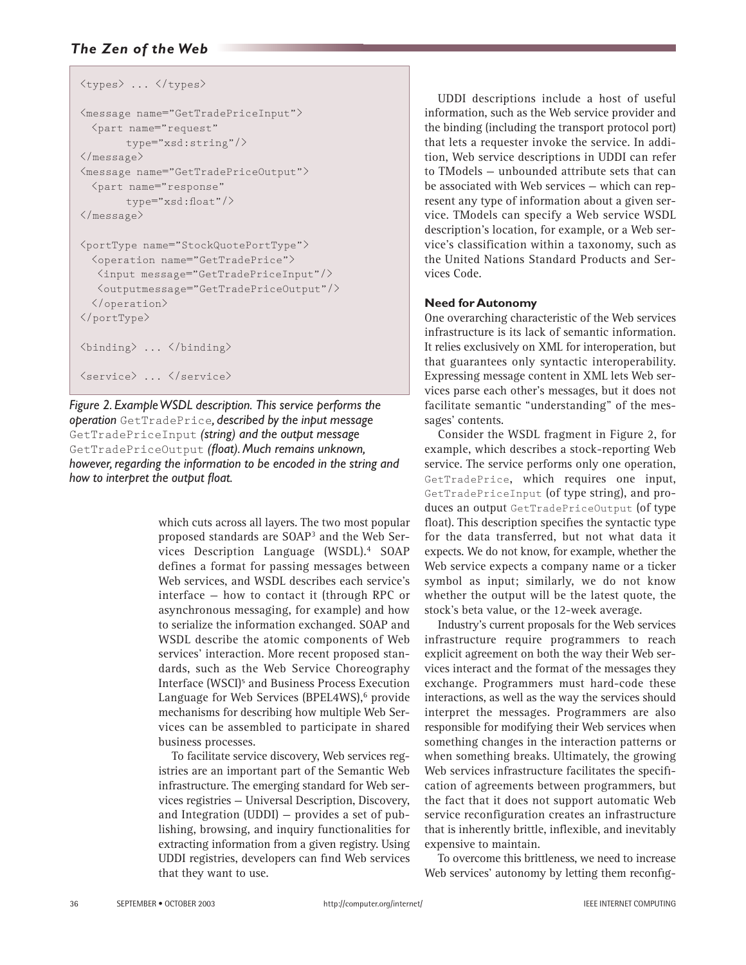# *The Zen of the Web*

#### <types> ... </types>

```
<message name="GetTradePriceInput">
 <part name="request"
       type="xsd:string"/>
\langle/message\rangle<message name="GetTradePriceOutput">
 <part name="response" 
       type="xsd:float"/>
</message>
<portType name="StockQuotePortType">
 <operation name="GetTradePrice">
  <input message="GetTradePriceInput"/>
  <outputmessage="GetTradePriceOutput"/>
 </operation>
</portType>
<binding> ... </binding>
<service> ... </service>
```
*Figure 2. Example WSDL description. This service performs the operation* GetTradePrice*, described by the input message* GetTradePriceInput *(string) and the output message* GetTradePriceOutput *(float). Much remains unknown, however, regarding the information to be encoded in the string and how to interpret the output float.*

> which cuts across all layers. The two most popular proposed standards are SOAP3 and the Web Services Description Language (WSDL).4 SOAP defines a format for passing messages between Web services, and WSDL describes each service's interface — how to contact it (through RPC or asynchronous messaging, for example) and how to serialize the information exchanged. SOAP and WSDL describe the atomic components of Web services' interaction. More recent proposed standards, such as the Web Service Choreography Interface (WSCI)**<sup>5</sup>** and Business Process Execution Language for Web Services (BPEL4WS),<sup>6</sup> provide mechanisms for describing how multiple Web Services can be assembled to participate in shared business processes.

> To facilitate service discovery, Web services registries are an important part of the Semantic Web infrastructure. The emerging standard for Web services registries — Universal Description, Discovery, and Integration (UDDI) — provides a set of publishing, browsing, and inquiry functionalities for extracting information from a given registry. Using UDDI registries, developers can find Web services that they want to use.

UDDI descriptions include a host of useful information, such as the Web service provider and the binding (including the transport protocol port) that lets a requester invoke the service. In addition, Web service descriptions in UDDI can refer to TModels — unbounded attribute sets that can be associated with Web services — which can represent any type of information about a given service. TModels can specify a Web service WSDL description's location, for example, or a Web service's classification within a taxonomy, such as the United Nations Standard Products and Services Code.

#### **Need for Autonomy**

One overarching characteristic of the Web services infrastructure is its lack of semantic information. It relies exclusively on XML for interoperation, but that guarantees only syntactic interoperability. Expressing message content in XML lets Web services parse each other's messages, but it does not facilitate semantic "understanding" of the messages' contents.

Consider the WSDL fragment in Figure 2, for example, which describes a stock-reporting Web service. The service performs only one operation, GetTradePrice, which requires one input, GetTradePriceInput (of type string), and produces an output GetTradePriceOutput (of type float). This description specifies the syntactic type for the data transferred, but not what data it expects. We do not know, for example, whether the Web service expects a company name or a ticker symbol as input; similarly, we do not know whether the output will be the latest quote, the stock's beta value, or the 12-week average.

Industry's current proposals for the Web services infrastructure require programmers to reach explicit agreement on both the way their Web services interact and the format of the messages they exchange. Programmers must hard-code these interactions, as well as the way the services should interpret the messages. Programmers are also responsible for modifying their Web services when something changes in the interaction patterns or when something breaks. Ultimately, the growing Web services infrastructure facilitates the specification of agreements between programmers, but the fact that it does not support automatic Web service reconfiguration creates an infrastructure that is inherently brittle, inflexible, and inevitably expensive to maintain.

To overcome this brittleness, we need to increase Web services' autonomy by letting them reconfig-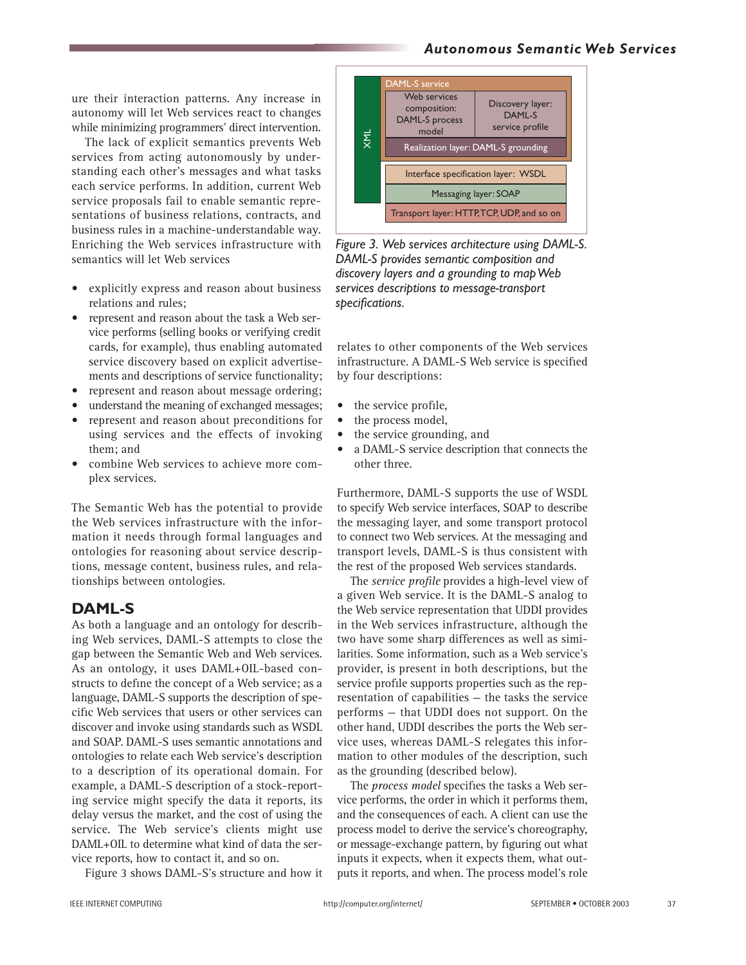# *Autonomous Semantic Web Services*

ure their interaction patterns. Any increase in autonomy will let Web services react to changes while minimizing programmers' direct intervention.

The lack of explicit semantics prevents Web services from acting autonomously by understanding each other's messages and what tasks each service performs. In addition, current Web service proposals fail to enable semantic representations of business relations, contracts, and business rules in a machine-understandable way. Enriching the Web services infrastructure with semantics will let Web services

- explicitly express and reason about business relations and rules;
- represent and reason about the task a Web service performs (selling books or verifying credit cards, for example), thus enabling automated service discovery based on explicit advertisements and descriptions of service functionality;
- represent and reason about message ordering;
- understand the meaning of exchanged messages;
- represent and reason about preconditions for using services and the effects of invoking them; and
- combine Web services to achieve more complex services.

The Semantic Web has the potential to provide the Web services infrastructure with the information it needs through formal languages and ontologies for reasoning about service descriptions, message content, business rules, and relationships between ontologies.

# **DAML-S**

As both a language and an ontology for describing Web services, DAML-S attempts to close the gap between the Semantic Web and Web services. As an ontology, it uses DAML+OIL-based constructs to define the concept of a Web service; as a language, DAML-S supports the description of specific Web services that users or other services can discover and invoke using standards such as WSDL and SOAP. DAML-S uses semantic annotations and ontologies to relate each Web service's description to a description of its operational domain. For example, a DAML-S description of a stock-reporting service might specify the data it reports, its delay versus the market, and the cost of using the service. The Web service's clients might use DAML+OIL to determine what kind of data the service reports, how to contact it, and so on.

Figure 3 shows DAML-S's structure and how it



*Figure 3. Web services architecture using DAML-S. DAML-S provides semantic composition and discovery layers and a grounding to map Web services descriptions to message-transport specifications.*

relates to other components of the Web services infrastructure. A DAML-S Web service is specified by four descriptions:

- the service profile,
- the process model,
- the service grounding, and
- a DAML-S service description that connects the other three.

Furthermore, DAML-S supports the use of WSDL to specify Web service interfaces, SOAP to describe the messaging layer, and some transport protocol to connect two Web services. At the messaging and transport levels, DAML-S is thus consistent with the rest of the proposed Web services standards.

The *service profile* provides a high-level view of a given Web service. It is the DAML-S analog to the Web service representation that UDDI provides in the Web services infrastructure, although the two have some sharp differences as well as similarities. Some information, such as a Web service's provider, is present in both descriptions, but the service profile supports properties such as the representation of capabilities — the tasks the service performs — that UDDI does not support. On the other hand, UDDI describes the ports the Web service uses, whereas DAML-S relegates this information to other modules of the description, such as the grounding (described below).

The *process model* specifies the tasks a Web service performs, the order in which it performs them, and the consequences of each. A client can use the process model to derive the service's choreography, or message-exchange pattern, by figuring out what inputs it expects, when it expects them, what outputs it reports, and when. The process model's role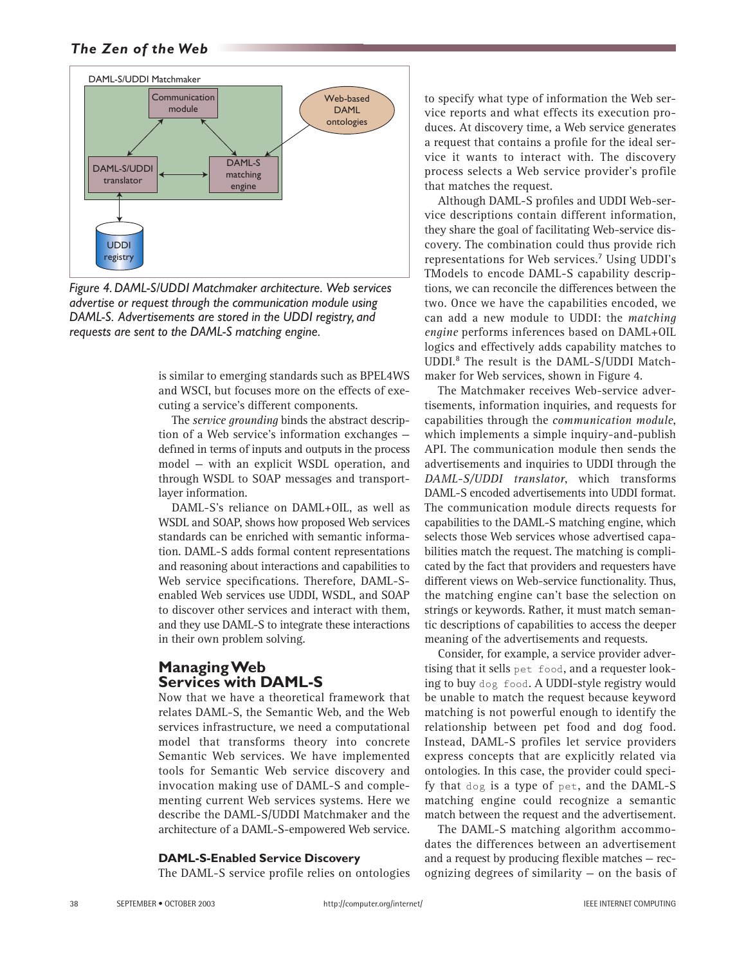Now that we have a theoretical framework that relates DAML-S, the Semantic Web, and the Web services infrastructure, we need a computational model that transforms theory into concrete Semantic Web services. We have implemented tools for Semantic Web service discovery and invocation making use of DAML-S and complementing current Web services systems. Here we

#### **DAML-S-Enabled Service Discovery**

The DAML-S service profile relies on ontologies

describe the DAML-S/UDDI Matchmaker and the architecture of a DAML-S-empowered Web service. to specify what type of information the Web service reports and what effects its execution produces. At discovery time, a Web service generates a request that contains a profile for the ideal service it wants to interact with. The discovery process selects a Web service provider's profile that matches the request.

Although DAML-S profiles and UDDI Web-service descriptions contain different information, they share the goal of facilitating Web-service discovery. The combination could thus provide rich representations for Web services.<sup>7</sup> Using UDDI's TModels to encode DAML-S capability descriptions, we can reconcile the differences between the two. Once we have the capabilities encoded, we can add a new module to UDDI: the *matching engine* performs inferences based on DAML+OIL logics and effectively adds capability matches to UDDI.8 The result is the DAML-S/UDDI Matchmaker for Web services, shown in Figure 4.

The Matchmaker receives Web-service advertisements, information inquiries, and requests for capabilities through the *communication module*, which implements a simple inquiry-and-publish API. The communication module then sends the advertisements and inquiries to UDDI through the *DAML-S/UDDI translator*, which transforms DAML-S encoded advertisements into UDDI format. The communication module directs requests for capabilities to the DAML-S matching engine, which selects those Web services whose advertised capabilities match the request. The matching is complicated by the fact that providers and requesters have different views on Web-service functionality. Thus, the matching engine can't base the selection on strings or keywords. Rather, it must match semantic descriptions of capabilities to access the deeper meaning of the advertisements and requests.

Consider, for example, a service provider advertising that it sells pet food, and a requester looking to buy dog food. A UDDI-style registry would be unable to match the request because keyword matching is not powerful enough to identify the relationship between pet food and dog food. Instead, DAML-S profiles let service providers express concepts that are explicitly related via ontologies. In this case, the provider could specify that dog is a type of pet, and the DAML-S matching engine could recognize a semantic match between the request and the advertisement.

The DAML-S matching algorithm accommodates the differences between an advertisement and a request by producing flexible matches — recognizing degrees of similarity — on the basis of

**Communication** module DAML-S/UDDI translator DAML-S matching engine UDDI registry Web-based DAML ontologies

*The Zen of the Web*

DAML-S/UDDI Matchmaker

*Figure 4. DAML-S/UDDI Matchmaker architecture. Web services advertise or request through the communication module using DAML-S. Advertisements are stored in the UDDI registry, and requests are sent to the DAML-S matching engine.*

is similar to emerging standards such as BPEL4WS and WSCI, but focuses more on the effects of executing a service's different components.

The *service grounding* binds the abstract description of a Web service's information exchanges defined in terms of inputs and outputs in the process model — with an explicit WSDL operation, and through WSDL to SOAP messages and transportlayer information.

DAML-S's reliance on DAML+OIL, as well as WSDL and SOAP, shows how proposed Web services standards can be enriched with semantic information. DAML-S adds formal content representations and reasoning about interactions and capabilities to Web service specifications. Therefore, DAML-Senabled Web services use UDDI, WSDL, and SOAP to discover other services and interact with them, and they use DAML-S to integrate these interactions in their own problem solving.

# **Managing Web Services with DAML-S**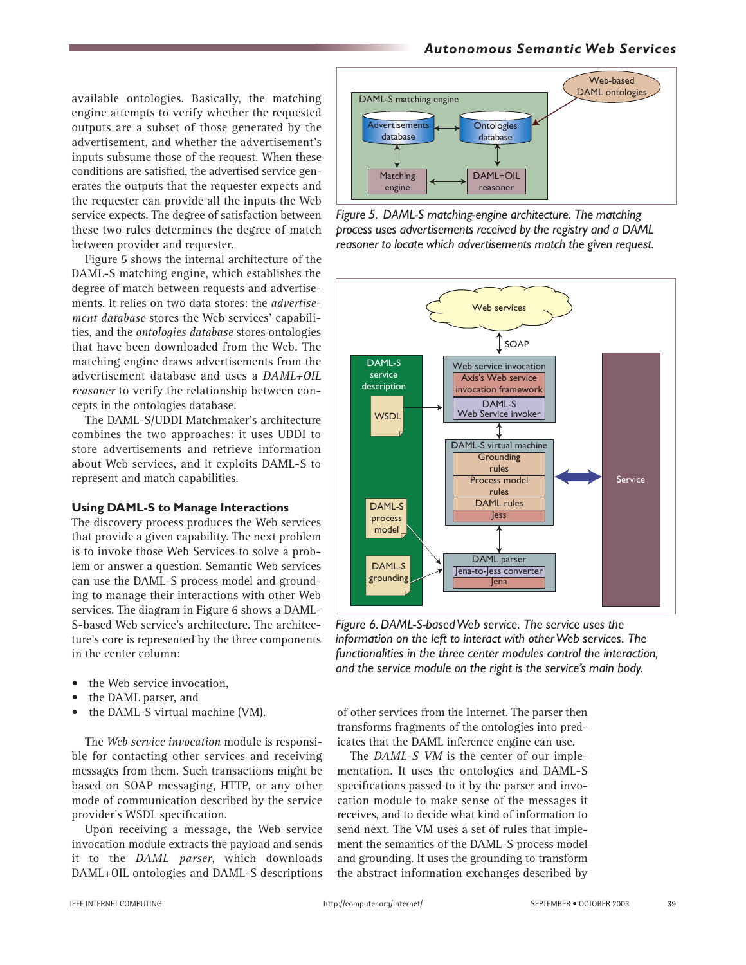available ontologies. Basically, the matching engine attempts to verify whether the requested outputs are a subset of those generated by the advertisement, and whether the advertisement's inputs subsume those of the request. When these conditions are satisfied, the advertised service generates the outputs that the requester expects and the requester can provide all the inputs the Web service expects. The degree of satisfaction between these two rules determines the degree of match between provider and requester.

Figure 5 shows the internal architecture of the DAML-S matching engine, which establishes the degree of match between requests and advertisements. It relies on two data stores: the *advertisement database* stores the Web services' capabilities, and the *ontologies database* stores ontologies that have been downloaded from the Web*.* The matching engine draws advertisements from the advertisement database and uses a *DAML+OIL reasoner* to verify the relationship between concepts in the ontologies database.

The DAML-S/UDDI Matchmaker's architecture combines the two approaches: it uses UDDI to store advertisements and retrieve information about Web services, and it exploits DAML-S to represent and match capabilities.

# **Using DAML-S to Manage Interactions**

The discovery process produces the Web services that provide a given capability. The next problem is to invoke those Web Services to solve a problem or answer a question. Semantic Web services can use the DAML-S process model and grounding to manage their interactions with other Web services. The diagram in Figure 6 shows a DAML-S-based Web service's architecture. The architecture's core is represented by the three components in the center column:

- the Web service invocation,
- the DAML parser, and
- the DAML-S virtual machine (VM).

The *Web service invocation* module is responsible for contacting other services and receiving messages from them. Such transactions might be based on SOAP messaging, HTTP, or any other mode of communication described by the service provider's WSDL specification.

Upon receiving a message, the Web service invocation module extracts the payload and sends it to the *DAML parser*, which downloads DAML+OIL ontologies and DAML-S descriptions



*Figure 5. DAML-S matching-engine architecture. The matching process uses advertisements received by the registry and a DAML reasoner to locate which advertisements match the given request.*



*Figure 6. DAML-S-based Web service. The service uses the information on the left to interact with other Web services. The functionalities in the three center modules control the interaction, and the service module on the right is the service's main body.*

of other services from the Internet. The parser then transforms fragments of the ontologies into predicates that the DAML inference engine can use.

The *DAML-S VM* is the center of our implementation. It uses the ontologies and DAML-S specifications passed to it by the parser and invocation module to make sense of the messages it receives, and to decide what kind of information to send next. The VM uses a set of rules that implement the semantics of the DAML-S process model and grounding. It uses the grounding to transform the abstract information exchanges described by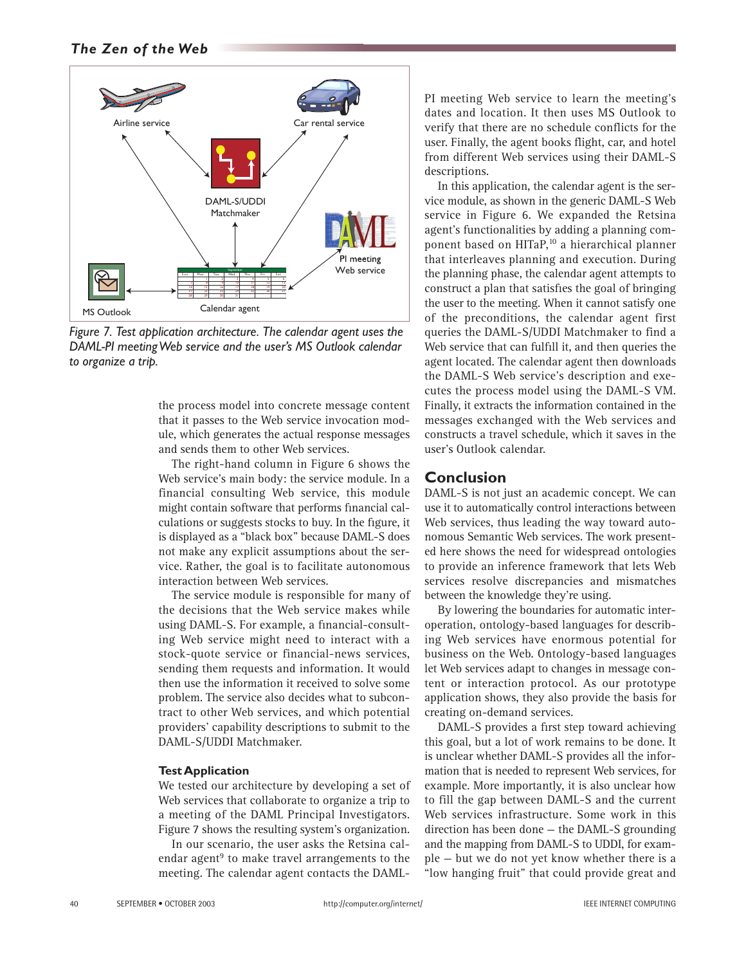

*Figure 7. Test application architecture. The calendar agent uses the DAML-PI meeting Web service and the user's MS Outlook calendar to organize a trip.*

the process model into concrete message content that it passes to the Web service invocation module, which generates the actual response messages and sends them to other Web services.

The right-hand column in Figure 6 shows the Web service's main body: the service module. In a financial consulting Web service, this module might contain software that performs financial calculations or suggests stocks to buy. In the figure, it is displayed as a "black box" because DAML-S does not make any explicit assumptions about the service. Rather, the goal is to facilitate autonomous interaction between Web services.

The service module is responsible for many of the decisions that the Web service makes while using DAML-S. For example, a financial-consulting Web service might need to interact with a stock-quote service or financial-news services, sending them requests and information. It would then use the information it received to solve some problem. The service also decides what to subcontract to other Web services, and which potential providers' capability descriptions to submit to the DAML-S/UDDI Matchmaker.

# **Test Application**

We tested our architecture by developing a set of Web services that collaborate to organize a trip to a meeting of the DAML Principal Investigators. Figure 7 shows the resulting system's organization.

In our scenario, the user asks the Retsina calendar agent<sup>9</sup> to make travel arrangements to the meeting. The calendar agent contacts the DAML-

PI meeting Web service to learn the meeting's dates and location. It then uses MS Outlook to verify that there are no schedule conflicts for the user. Finally, the agent books flight, car, and hotel from different Web services using their DAML-S descriptions.

In this application, the calendar agent is the service module, as shown in the generic DAML-S Web service in Figure 6. We expanded the Retsina agent's functionalities by adding a planning component based on HITaP,10 a hierarchical planner that interleaves planning and execution. During the planning phase, the calendar agent attempts to construct a plan that satisfies the goal of bringing the user to the meeting. When it cannot satisfy one of the preconditions, the calendar agent first queries the DAML-S/UDDI Matchmaker to find a Web service that can fulfill it, and then queries the agent located. The calendar agent then downloads the DAML-S Web service's description and executes the process model using the DAML-S VM. Finally, it extracts the information contained in the messages exchanged with the Web services and constructs a travel schedule, which it saves in the user's Outlook calendar.

# **Conclusion**

DAML-S is not just an academic concept. We can use it to automatically control interactions between Web services, thus leading the way toward autonomous Semantic Web services. The work presented here shows the need for widespread ontologies to provide an inference framework that lets Web services resolve discrepancies and mismatches between the knowledge they're using.

By lowering the boundaries for automatic interoperation, ontology-based languages for describing Web services have enormous potential for business on the Web. Ontology-based languages let Web services adapt to changes in message content or interaction protocol. As our prototype application shows, they also provide the basis for creating on-demand services.

DAML-S provides a first step toward achieving this goal, but a lot of work remains to be done. It is unclear whether DAML-S provides all the information that is needed to represent Web services, for example. More importantly, it is also unclear how to fill the gap between DAML-S and the current Web services infrastructure. Some work in this direction has been done — the DAML-S grounding and the mapping from DAML-S to UDDI, for example — but we do not yet know whether there is a "low hanging fruit" that could provide great and